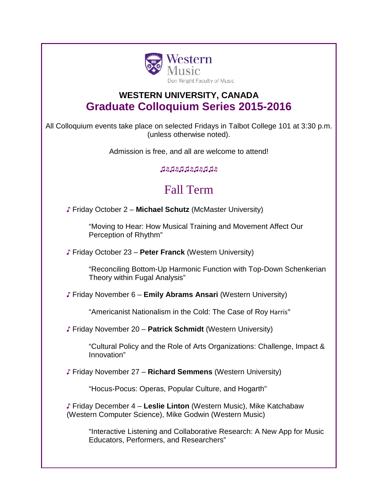

## **WESTERN UNIVERSITY, CANADA Graduate Colloquium Series 2015-2016**

All Colloquium events take place on selected Fridays in Talbot College 101 at 3:30 p.m. (unless otherwise noted).

Admission is free, and all are welcome to attend!

♫♬♫♬♫♫♬♫♬♫♫♬

## Fall Term

♪ Friday October 2 – **Michael Schutz** (McMaster University)

"Moving to Hear: How Musical Training and Movement Affect Our Perception of Rhythm"

♪ Friday October 23 – **Peter Franck** (Western University)

"Reconciling Bottom-Up Harmonic Function with Top-Down Schenkerian Theory within Fugal Analysis"

♪ Friday November 6 – **Emily Abrams Ansari** (Western University)

"Americanist Nationalism in the Cold: The Case of Roy Harris"

♪ Friday November 20 – **Patrick Schmidt** (Western University)

"Cultural Policy and the Role of Arts Organizations: Challenge, Impact & Innovation"

♪ Friday November 27 – **Richard Semmens** (Western University)

"Hocus-Pocus: Operas, Popular Culture, and Hogarth"

♪ Friday December 4 – **Leslie Linton** (Western Music), Mike Katchabaw (Western Computer Science), Mike Godwin (Western Music)

"Interactive Listening and Collaborative Research: A New App for Music Educators, Performers, and Researchers"